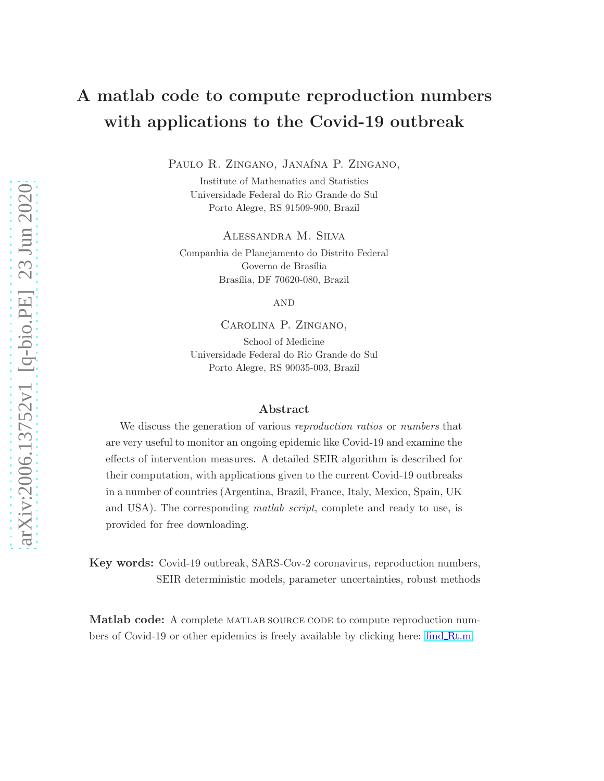# A matlab code to compute reproduction numbers with applications to the Covid-19 outbreak

PAULO R. ZINGANO, JANAÍNA P. ZINGANO,

Institute of Mathematics and Statistics Universidade Federal do Rio Grande do Sul Porto Alegre, RS 91509-900, Brazil

Alessandra M. Silva

Companhia de Planejamento do Distrito Federal Governo de Brasília Brasília, DF 70620-080, Brazil

**AND** 

Carolina P. Zingano, School of Medicine Universidade Federal do Rio Grande do Sul Porto Alegre, RS 90035-003, Brazil

#### Abstract

We discuss the generation of various *reproduction ratios* or *numbers* that are very useful to monitor an ongoing epidemic like Covid-19 and examine the effects of intervention measures. A detailed SEIR algorithm is described for their computation, with applications given to the current Covid-19 outbreaks in a number of countries (Argentina, Brazil, France, Italy, Mexico, Spain, UK and USA). The corresponding *matlab script*, complete and ready to use, is provided for free downloading.

Key words: Covid-19 outbreak, SARS-Cov-2 coronavirus, reproduction numbers, SEIR deterministic models, parameter uncertainties, robust methods

Matlab code: A complete MATLAB SOURCE CODE to compute reproduction numbers of Covid-19 or other epidemics is freely available by clicking here: find [Rt.m.](https://drive.google.com/drive/folders/16kLxlZyqH-QATOLQI6QWTx7qZnL3IoCP)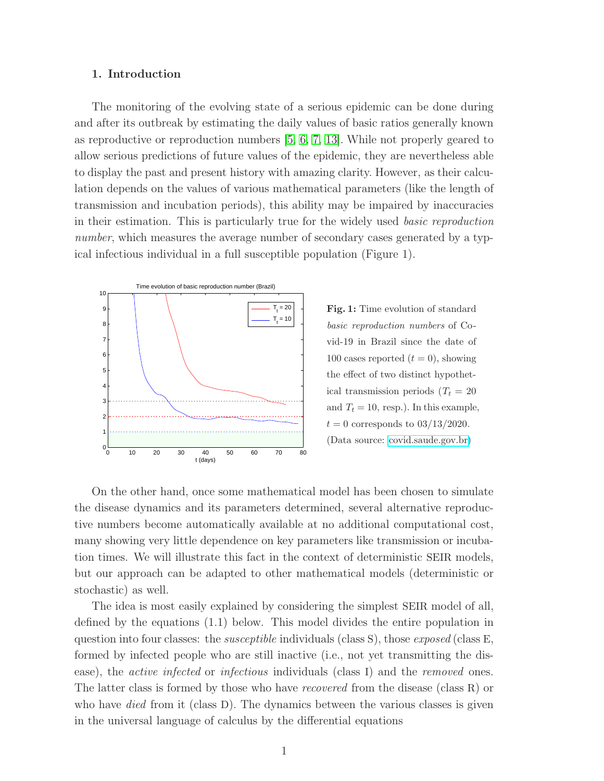#### 1. Introduction

The monitoring of the evolving state of a serious epidemic can be done during and after its outbreak by estimating the daily values of basic ratios generally known as reproductive or reproduction numbers [\[5,](#page-14-0) [6,](#page-14-1) [7,](#page-14-2) [13\]](#page-15-0). While not properly geared to allow serious predictions of future values of the epidemic, they are nevertheless able to display the past and present history with amazing clarity. However, as their calculation depends on the values of various mathematical parameters (like the length of transmission and incubation periods), this ability may be impaired by inaccuracies in their estimation. This is particularly true for the widely used basic reproduction number, which measures the average number of secondary cases generated by a typical infectious individual in a full susceptible population (Figure 1).



Fig. 1: Time evolution of standard basic reproduction numbers of Covid-19 in Brazil since the date of 100 cases reported  $(t = 0)$ , showing the effect of two distinct hypothetical transmission periods  $(T_t = 20)$ and  $T_t = 10$ , resp.). In this example,  $t = 0$  corresponds to  $03/13/2020$ . (Data source: [covid.saude.gov.br\)](https://covid.saude.gov.br)

On the other hand, once some mathematical model has been chosen to simulate the disease dynamics and its parameters determined, several alternative reproductive numbers become automatically available at no additional computational cost, many showing very little dependence on key parameters like transmission or incubation times. We will illustrate this fact in the context of deterministic SEIR models, but our approach can be adapted to other mathematical models (deterministic or stochastic) as well.

The idea is most easily explained by considering the simplest SEIR model of all, defined by the equations (1.1) below. This model divides the entire population in question into four classes: the *susceptible* individuals (class S), those *exposed* (class E, formed by infected people who are still inactive (i.e., not yet transmitting the disease), the *active infected* or *infectious* individuals (class I) and the *removed* ones. The latter class is formed by those who have recovered from the disease (class R) or who have *died* from it (class D). The dynamics between the various classes is given in the universal language of calculus by the differential equations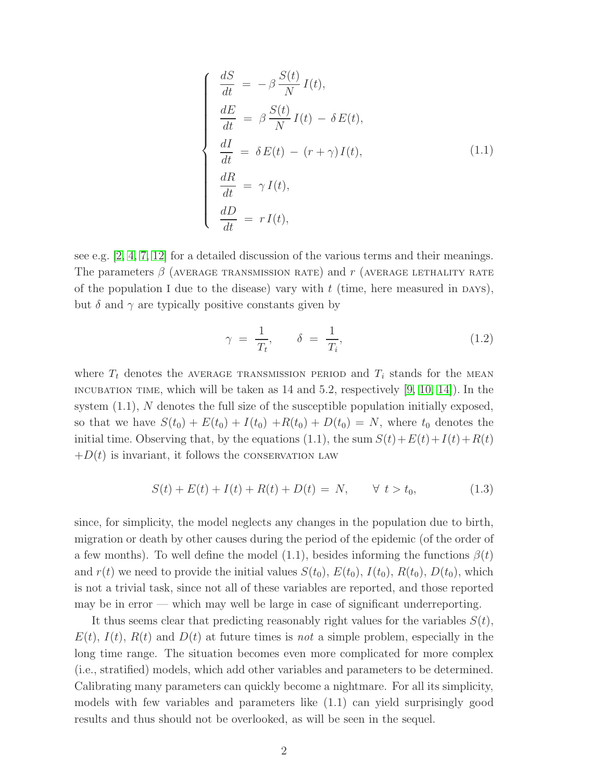$$
\begin{cases}\n\frac{dS}{dt} = -\beta \frac{S(t)}{N} I(t),\n\frac{dE}{dt} = \beta \frac{S(t)}{N} I(t) - \delta E(t),\n\frac{dI}{dt} = \delta E(t) - (r + \gamma) I(t),\n\frac{dR}{dt} = \gamma I(t),\n\frac{dD}{dt} = r I(t),\n\end{cases}
$$
\n(1.1)

see e.g.  $[2, 4, 7, 12]$  $[2, 4, 7, 12]$  $[2, 4, 7, 12]$  $[2, 4, 7, 12]$  for a detailed discussion of the various terms and their meanings. The parameters  $\beta$  (average transmission rate) and r (average letthality rate of the population I due to the disease) vary with  $t$  (time, here measured in DAYS), but  $\delta$  and  $\gamma$  are typically positive constants given by

$$
\gamma = \frac{1}{T_t}, \qquad \delta = \frac{1}{T_i}, \tag{1.2}
$$

where  $T_t$  denotes the AVERAGE TRANSMISSION PERIOD and  $T_i$  stands for the MEAN INCUBATION TIME, which will be taken as  $14$  and  $5.2$ , respectively  $[9, 10, 14]$  $[9, 10, 14]$  $[9, 10, 14]$ . In the system  $(1.1)$ , N denotes the full size of the susceptible population initially exposed, so that we have  $S(t_0) + E(t_0) + I(t_0) + R(t_0) + D(t_0) = N$ , where  $t_0$  denotes the initial time. Observing that, by the equations (1.1), the sum  $S(t) + E(t) + I(t) + R(t)$  $+D(t)$  is invariant, it follows the CONSERVATION LAW

$$
S(t) + E(t) + I(t) + R(t) + D(t) = N, \t\forall t > t_0,
$$
\n(1.3)

since, for simplicity, the model neglects any changes in the population due to birth, migration or death by other causes during the period of the epidemic (of the order of a few months). To well define the model (1.1), besides informing the functions  $\beta(t)$ and  $r(t)$  we need to provide the initial values  $S(t_0)$ ,  $E(t_0)$ ,  $I(t_0)$ ,  $R(t_0)$ ,  $D(t_0)$ , which is not a trivial task, since not all of these variables are reported, and those reported may be in error — which may well be large in case of significant underreporting.

It thus seems clear that predicting reasonably right values for the variables  $S(t)$ ,  $E(t)$ ,  $I(t)$ ,  $R(t)$  and  $D(t)$  at future times is not a simple problem, especially in the long time range. The situation becomes even more complicated for more complex (i.e., stratified) models, which add other variables and parameters to be determined. Calibrating many parameters can quickly become a nightmare. For all its simplicity, models with few variables and parameters like (1.1) can yield surprisingly good results and thus should not be overlooked, as will be seen in the sequel.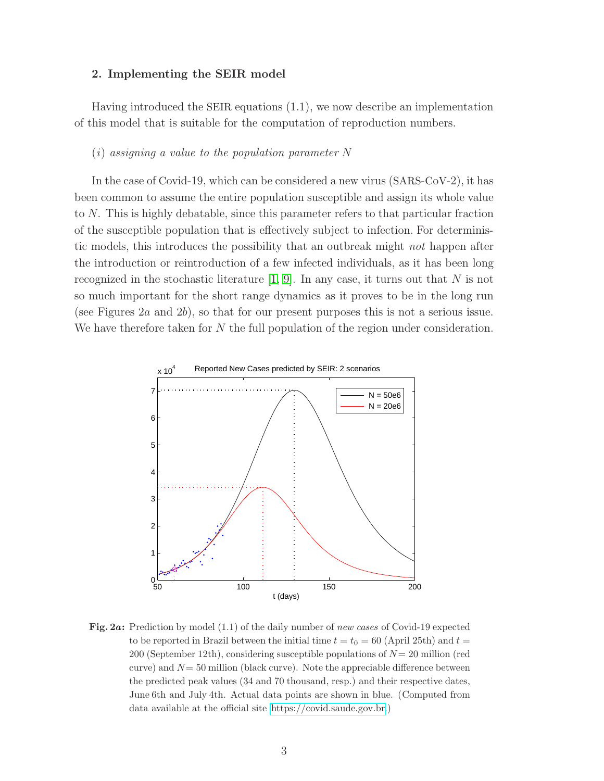#### 2. Implementing the SEIR model

Having introduced the SEIR equations (1.1), we now describe an implementation of this model that is suitable for the computation of reproduction numbers.

#### $(i)$  assigning a value to the population parameter N

In the case of Covid-19, which can be considered a new virus (SARS-CoV-2), it has been common to assume the entire population susceptible and assign its whole value to N. This is highly debatable, since this parameter refers to that particular fraction of the susceptible population that is effectively subject to infection. For deterministic models, this introduces the possibility that an outbreak might not happen after the introduction or reintroduction of a few infected individuals, as it has been long recognized in the stochastic literature  $[1, 9]$  $[1, 9]$ . In any case, it turns out that N is not so much important for the short range dynamics as it proves to be in the long run (see Figures 2a and 2b), so that for our present purposes this is not a serious issue. We have therefore taken for N the full population of the region under consideration.



Fig. 2a: Prediction by model (1.1) of the daily number of new cases of Covid-19 expected to be reported in Brazil between the initial time  $t = t_0 = 60$  (April 25th) and  $t =$ 200 (September 12th), considering susceptible populations of  $N = 20$  million (red curve) and  $N=50$  million (black curve). Note the appreciable difference between the predicted peak values (34 and 70 thousand, resp.) and their respective dates, June 6th and July 4th. Actual data points are shown in blue. (Computed from data available at the official site [https://covid.saude.gov.br.](https://covid.saude.gov.br))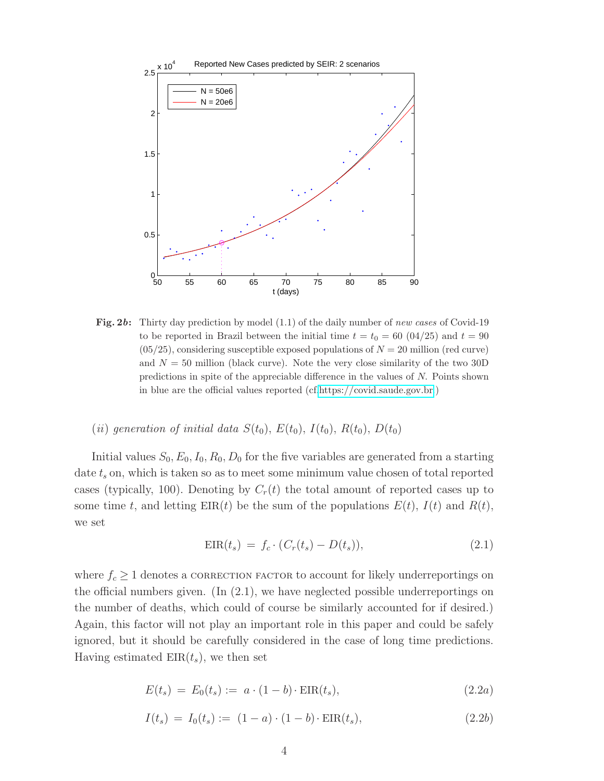

Fig. 2b: Thirty day prediction by model  $(1.1)$  of the daily number of new cases of Covid-19 to be reported in Brazil between the initial time  $t = t_0 = 60 (04/25)$  and  $t = 90$  $(05/25)$ , considering susceptible exposed populations of  $N = 20$  million (red curve) and  $N = 50$  million (black curve). Note the very close similarity of the two 30D predictions in spite of the appreciable difference in the values of N. Points shown in blue are the official values reported (cf[.https://covid.saude.gov.br.](https://covid.saude.gov.br))

(ii) generation of initial data  $S(t_0)$ ,  $E(t_0)$ ,  $I(t_0)$ ,  $R(t_0)$ ,  $D(t_0)$ 

Initial values  $S_0$ ,  $E_0$ ,  $I_0$ ,  $R_0$ ,  $D_0$  for the five variables are generated from a starting date  $t_s$  on, which is taken so as to meet some minimum value chosen of total reported cases (typically, 100). Denoting by  $C_r(t)$  the total amount of reported cases up to some time t, and letting  $EIR(t)$  be the sum of the populations  $E(t)$ ,  $I(t)$  and  $R(t)$ , we set

$$
EIR(ts) = fc \cdot (Cr(ts) - D(ts)), \qquad (2.1)
$$

where  $f_c \geq 1$  denotes a correction factor to account for likely underreportings on the official numbers given. (In (2.1), we have neglected possible underreportings on the number of deaths, which could of course be similarly accounted for if desired.) Again, this factor will not play an important role in this paper and could be safely ignored, but it should be carefully considered in the case of long time predictions. Having estimated  $EIR(t_s)$ , we then set

$$
E(t_s) = E_0(t_s) := a \cdot (1 - b) \cdot \text{EIR}(t_s), \tag{2.2a}
$$

$$
I(t_s) = I_0(t_s) := (1 - a) \cdot (1 - b) \cdot \text{EIR}(t_s), \tag{2.2b}
$$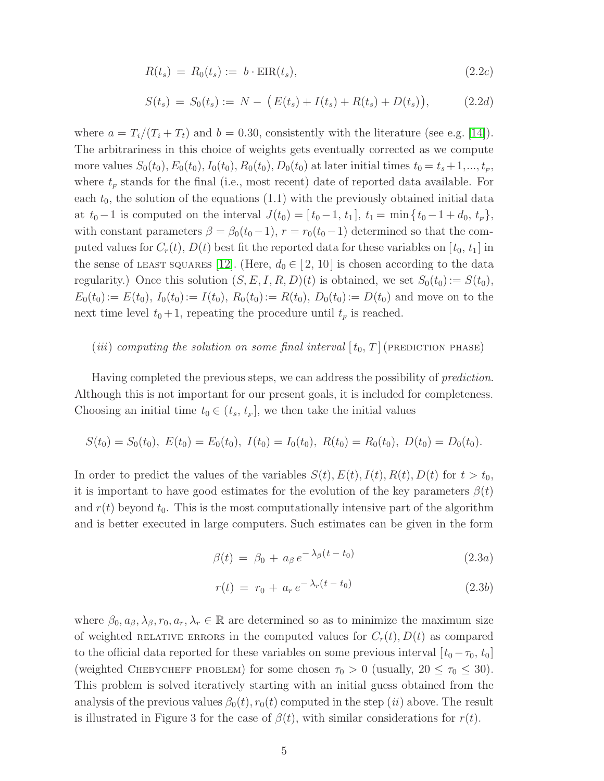$$
R(t_s) = R_0(t_s) := b \cdot \text{EIR}(t_s), \qquad (2.2c)
$$

$$
S(t_s) = S_0(t_s) := N - (E(t_s) + I(t_s) + R(t_s) + D(t_s)), \qquad (2.2d)
$$

where  $a = T_i/(T_i + T_t)$  and  $b = 0.30$ , consistently with the literature (see e.g. [\[14\]](#page-15-1)). The arbitrariness in this choice of weights gets eventually corrected as we compute more values  $S_0(t_0)$ ,  $E_0(t_0)$ ,  $I_0(t_0)$ ,  $R_0(t_0)$ ,  $D_0(t_0)$  at later initial times  $t_0 = t_s + 1, ..., t_F$ , where  $t_F$  stands for the final (i.e., most recent) date of reported data available. For each  $t_0$ , the solution of the equations (1.1) with the previously obtained initial data at  $t_0-1$  is computed on the interval  $J(t_0) = [t_0-1, t_1], t_1 = \min\{t_0-1+d_0, t_F\},$ with constant parameters  $\beta = \beta_0(t_0 - 1), r = r_0(t_0 - 1)$  determined so that the computed values for  $C_r(t)$ ,  $D(t)$  best fit the reported data for these variables on  $[t_0, t_1]$  in the sense of LEAST SQUARES [\[12\]](#page-14-5). (Here,  $d_0 \in [2, 10]$  is chosen according to the data regularity.) Once this solution  $(S, E, I, R, D)(t)$  is obtained, we set  $S_0(t_0) := S(t_0)$ ,  $E_0(t_0):= E(t_0), I_0(t_0):= I(t_0), R_0(t_0):= R(t_0), D_0(t_0):= D(t_0)$  and move on to the next time level  $t_0 + 1$ , repeating the procedure until  $t_F$  is reached.

## (*iii*) computing the solution on some final interval  $[t_0, T]$  (prediction phase)

Having completed the previous steps, we can address the possibility of prediction. Although this is not important for our present goals, it is included for completeness. Choosing an initial time  $t_0 \in (t_s, t_F]$ , we then take the initial values

$$
S(t_0) = S_0(t_0), \ E(t_0) = E_0(t_0), \ I(t_0) = I_0(t_0), \ R(t_0) = R_0(t_0), \ D(t_0) = D_0(t_0).
$$

In order to predict the values of the variables  $S(t)$ ,  $E(t)$ ,  $I(t)$ ,  $R(t)$ ,  $D(t)$  for  $t > t_0$ , it is important to have good estimates for the evolution of the key parameters  $\beta(t)$ and  $r(t)$  beyond  $t_0$ . This is the most computationally intensive part of the algorithm and is better executed in large computers. Such estimates can be given in the form

$$
\beta(t) = \beta_0 + a_\beta e^{-\lambda_\beta (t - t_0)} \tag{2.3a}
$$

$$
r(t) = r_0 + a_r e^{-\lambda_r (t - t_0)}
$$
\n(2.3b)

where  $\beta_0, a_\beta, \lambda_\beta, r_0, a_r, \lambda_r \in \mathbb{R}$  are determined so as to minimize the maximum size of weighted RELATIVE ERRORS in the computed values for  $C_r(t)$ ,  $D(t)$  as compared to the official data reported for these variables on some previous interval  $[t_0 - \tau_0, t_0]$ (weighted CHEBYCHEFF PROBLEM) for some chosen  $\tau_0 > 0$  (usually,  $20 \le \tau_0 \le 30$ ). This problem is solved iteratively starting with an initial guess obtained from the analysis of the previous values  $\beta_0(t)$ ,  $r_0(t)$  computed in the step (ii) above. The result is illustrated in Figure 3 for the case of  $\beta(t)$ , with similar considerations for  $r(t)$ .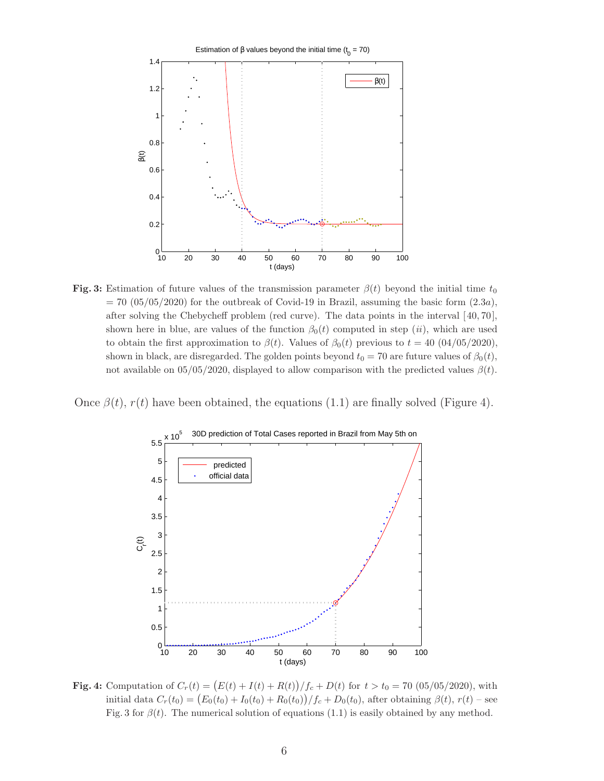

Fig. 3: Estimation of future values of the transmission parameter  $\beta(t)$  beyond the initial time  $t_0$  $= 70$  (05/05/2020) for the outbreak of Covid-19 in Brazil, assuming the basic form  $(2.3a)$ , after solving the Chebycheff problem (red curve). The data points in the interval [ 40, 70], shown here in blue, are values of the function  $\beta_0(t)$  computed in step (ii), which are used to obtain the first approximation to  $\beta(t)$ . Values of  $\beta_0(t)$  previous to  $t = 40$  (04/05/2020), shown in black, are disregarded. The golden points beyond  $t_0 = 70$  are future values of  $\beta_0(t)$ , not available on 05/05/2020, displayed to allow comparison with the predicted values  $\beta(t)$ .

Once  $\beta(t)$ ,  $r(t)$  have been obtained, the equations (1.1) are finally solved (Figure 4).



**Fig. 4:** Computation of  $C_r(t) = (E(t) + I(t) + R(t))/f_c + D(t)$  for  $t > t_0 = 70 (05/05/2020)$ , with initial data  $C_r(t_0) = (E_0(t_0) + I_0(t_0) + R_0(t_0))/f_c + D_0(t_0)$ , after obtaining  $\beta(t)$ ,  $r(t)$  – see Fig. 3 for  $\beta(t)$ . The numerical solution of equations (1.1) is easily obtained by any method.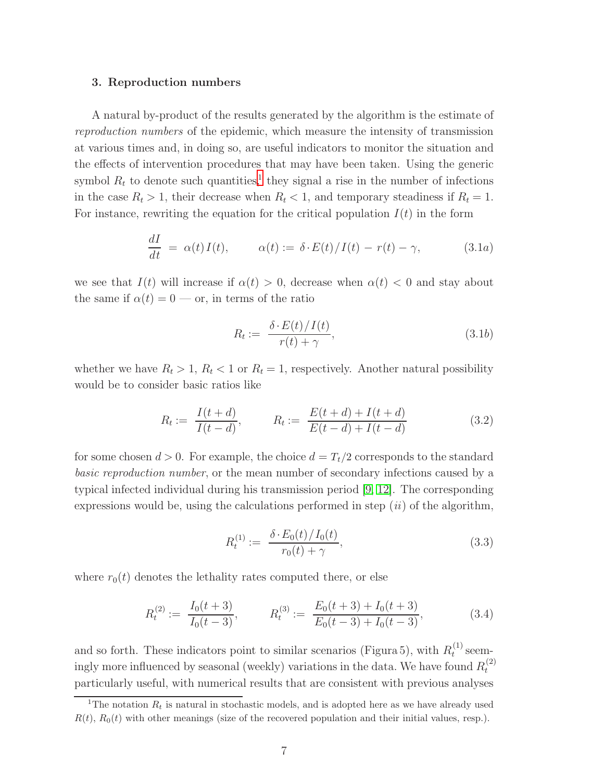#### 3. Reproduction numbers

A natural by-product of the results generated by the algorithm is the estimate of reproduction numbers of the epidemic, which measure the intensity of transmission at various times and, in doing so, are useful indicators to monitor the situation and the effects of intervention procedures that may have been taken. Using the generic symbol  $R_t$  to denote such quantities,<sup>[1](#page-7-0)</sup> they signal a rise in the number of infections in the case  $R_t > 1$ , their decrease when  $R_t < 1$ , and temporary steadiness if  $R_t = 1$ . For instance, rewriting the equation for the critical population  $I(t)$  in the form

$$
\frac{dI}{dt} = \alpha(t)I(t), \qquad \alpha(t) := \delta \cdot E(t)/I(t) - r(t) - \gamma,
$$
\n(3.1*a*)

we see that  $I(t)$  will increase if  $\alpha(t) > 0$ , decrease when  $\alpha(t) < 0$  and stay about the same if  $\alpha(t) = 0$  — or, in terms of the ratio

$$
R_t := \frac{\delta \cdot E(t)/I(t)}{r(t) + \gamma},\tag{3.1b}
$$

whether we have  $R_t > 1$ ,  $R_t < 1$  or  $R_t = 1$ , respectively. Another natural possibility would be to consider basic ratios like

$$
R_t := \frac{I(t+d)}{I(t-d)}, \qquad R_t := \frac{E(t+d) + I(t+d)}{E(t-d) + I(t-d)} \tag{3.2}
$$

for some chosen  $d > 0$ . For example, the choice  $d = T_t/2$  corresponds to the standard basic reproduction number, or the mean number of secondary infections caused by a typical infected individual during his transmission period [\[9,](#page-14-6) [12\]](#page-14-5). The corresponding expressions would be, using the calculations performed in step  $(ii)$  of the algorithm,

$$
R_t^{(1)} := \frac{\delta \cdot E_0(t)/I_0(t)}{r_0(t) + \gamma},\tag{3.3}
$$

where  $r_0(t)$  denotes the lethality rates computed there, or else

$$
R_t^{(2)} := \frac{I_0(t+3)}{I_0(t-3)}, \qquad R_t^{(3)} := \frac{E_0(t+3) + I_0(t+3)}{E_0(t-3) + I_0(t-3)},
$$
(3.4)

and so forth. These indicators point to similar scenarios (Figura 5), with  $R_t^{(1)}$  $t^{(1)}$  seemingly more influenced by seasonal (weekly) variations in the data. We have found  $R_t^{(2)}$ t particularly useful, with numerical results that are consistent with previous analyses

<span id="page-7-0"></span><sup>&</sup>lt;sup>1</sup>The notation  $R_t$  is natural in stochastic models, and is adopted here as we have already used  $R(t)$ ,  $R_0(t)$  with other meanings (size of the recovered population and their initial values, resp.).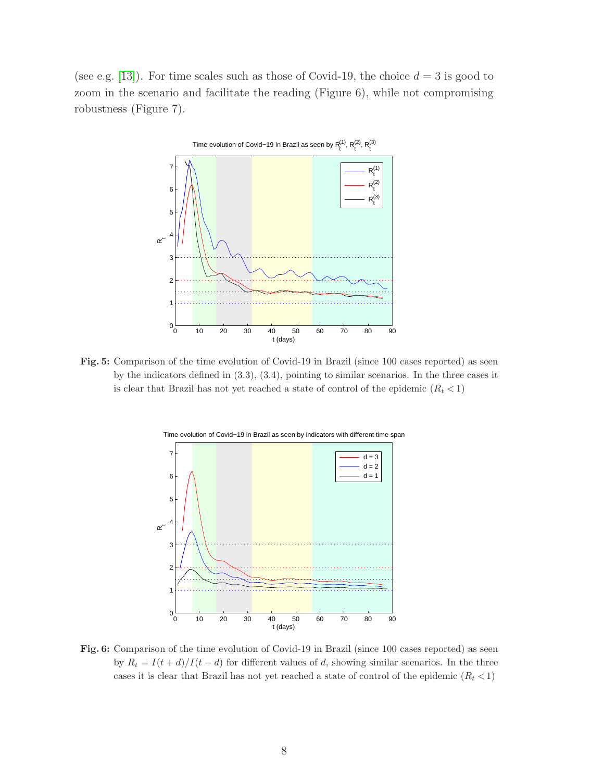(see e.g. [\[13\]](#page-15-0)). For time scales such as those of Covid-19, the choice  $d = 3$  is good to zoom in the scenario and facilitate the reading (Figure 6), while not compromising robustness (Figure 7).



Fig. 5: Comparison of the time evolution of Covid-19 in Brazil (since 100 cases reported) as seen by the indicators defined in (3.3), (3.4), pointing to similar scenarios. In the three cases it is clear that Brazil has not yet reached a state of control of the epidemic  $(R_t < 1)$ 



Fig. 6: Comparison of the time evolution of Covid-19 in Brazil (since 100 cases reported) as seen by  $R_t = I(t + d)/I(t - d)$  for different values of d, showing similar scenarios. In the three cases it is clear that Brazil has not yet reached a state of control of the epidemic  $(R_t < 1)$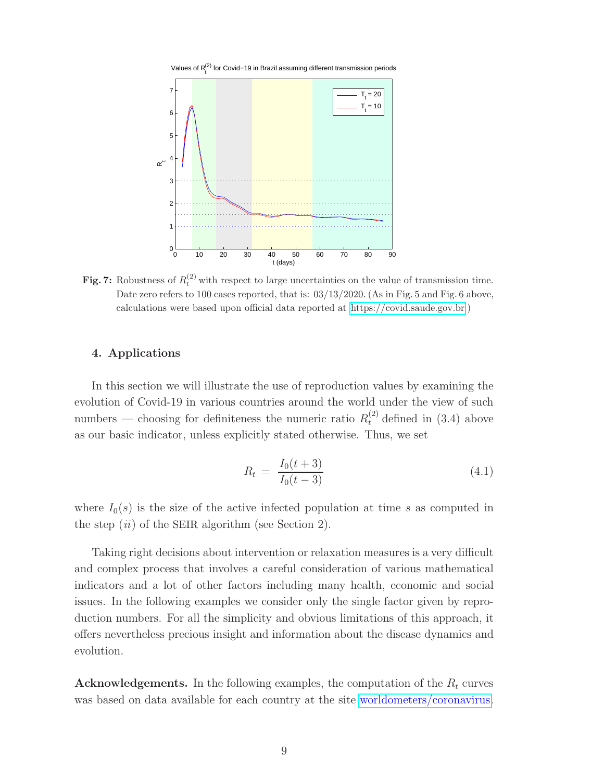

**Fig. 7:** Robustness of  $R_t^{(2)}$  with respect to large uncertainties on the value of transmission time. Date zero refers to 100 cases reported, that is:  $03/13/2020$ . (As in Fig. 5 and Fig. 6 above, calculations were based upon official data reported at [https://covid.saude.gov.br.](https://covid.saude.gov.br))

## 4. Applications

In this section we will illustrate the use of reproduction values by examining the evolution of Covid-19 in various countries around the world under the view of such numbers — choosing for definiteness the numeric ratio  $R_t^{(2)}$  defined in (3.4) above as our basic indicator, unless explicitly stated otherwise. Thus, we set

$$
R_t = \frac{I_0(t+3)}{I_0(t-3)}\tag{4.1}
$$

where  $I_0(s)$  is the size of the active infected population at time s as computed in the step  $(ii)$  of the SEIR algorithm (see Section 2).

Taking right decisions about intervention or relaxation measures is a very difficult and complex process that involves a careful consideration of various mathematical indicators and a lot of other factors including many health, economic and social issues. In the following examples we consider only the single factor given by reproduction numbers. For all the simplicity and obvious limitations of this approach, it offers nevertheless precious insight and information about the disease dynamics and evolution.

Acknowledgements. In the following examples, the computation of the  $R_t$  curves was based on data available for each country at the site [worldometers/coronavirus.](https://www.worldometers.info/coronavirus/)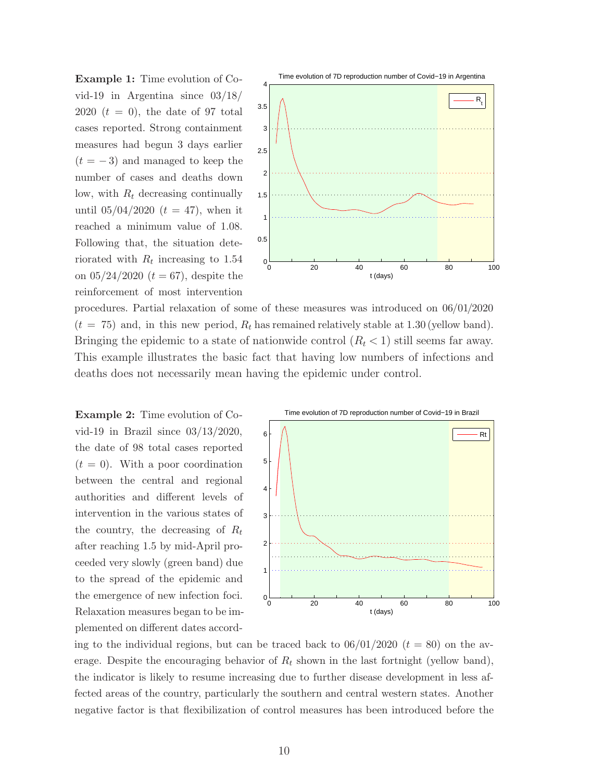Example 1: Time evolution of Covid-19 in Argentina since 03/18/ 2020  $(t = 0)$ , the date of 97 total cases reported. Strong containment measures had begun 3 days earlier  $(t = -3)$  and managed to keep the number of cases and deaths down low, with  $R_t$  decreasing continually until  $05/04/2020$   $(t = 47)$ , when it reached a minimum value of 1.08. Following that, the situation deteriorated with  $R_t$  increasing to 1.54 on  $05/24/2020$   $(t = 67)$ , despite the reinforcement of most intervention



procedures. Partial relaxation of some of these measures was introduced on 06/01/2020  $(t = 75)$  and, in this new period,  $R_t$  has remained relatively stable at 1.30 (yellow band). Bringing the epidemic to a state of nationwide control  $(R_t < 1)$  still seems far away. This example illustrates the basic fact that having low numbers of infections and deaths does not necessarily mean having the epidemic under control.

Example 2: Time evolution of Covid-19 in Brazil since 03/13/2020, the date of 98 total cases reported  $(t = 0)$ . With a poor coordination between the central and regional authorities and different levels of intervention in the various states of the country, the decreasing of  $R_t$ after reaching 1.5 by mid-April proceeded very slowly (green band) due to the spread of the epidemic and the emergence of new infection foci. Relaxation measures began to be implemented on different dates accord-



ing to the individual regions, but can be traced back to  $06/01/2020$   $(t = 80)$  on the average. Despite the encouraging behavior of  $R_t$  shown in the last fortnight (yellow band), the indicator is likely to resume increasing due to further disease development in less affected areas of the country, particularly the southern and central western states. Another negative factor is that flexibilization of control measures has been introduced before the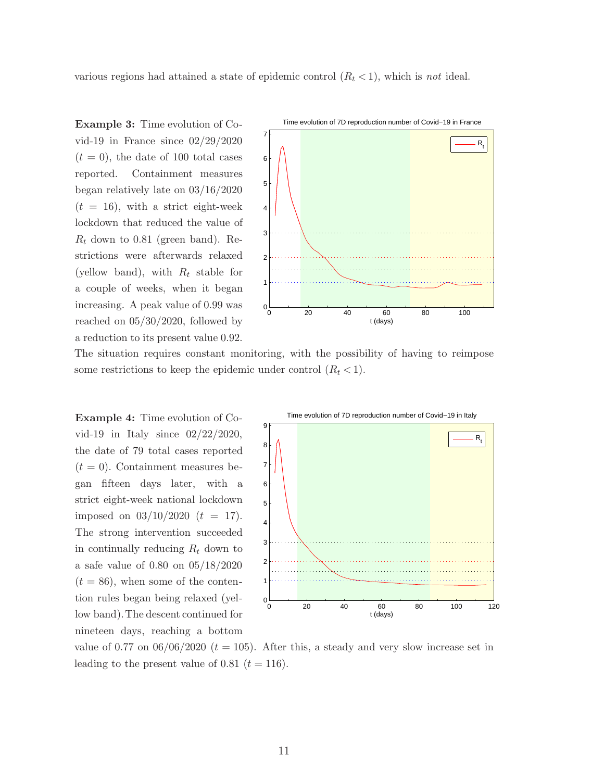various regions had attained a state of epidemic control  $(R_t < 1)$ , which is not ideal.

Example 3: Time evolution of Covid-19 in France since 02/29/2020  $(t = 0)$ , the date of 100 total cases reported. Containment measures began relatively late on 03/16/2020  $(t = 16)$ , with a strict eight-week lockdown that reduced the value of  $R_t$  down to 0.81 (green band). Restrictions were afterwards relaxed (yellow band), with  $R_t$  stable for a couple of weeks, when it began increasing. A peak value of 0.99 was reached on 05/30/2020, followed by a reduction to its present value 0.92.



The situation requires constant monitoring, with the possibility of having to reimpose some restrictions to keep the epidemic under control  $(R_t < 1)$ .

Example 4: Time evolution of Covid-19 in Italy since 02/22/2020, the date of 79 total cases reported  $(t = 0)$ . Containment measures began fifteen days later, with a strict eight-week national lockdown imposed on  $03/10/2020$   $(t = 17)$ . The strong intervention succeeded in continually reducing  $R_t$  down to a safe value of 0.80 on 05/18/2020  $(t = 86)$ , when some of the contention rules began being relaxed (yellow band).The descent continued for nineteen days, reaching a bottom



value of 0.77 on  $06/06/2020$  ( $t = 105$ ). After this, a steady and very slow increase set in leading to the present value of 0.81  $(t = 116)$ .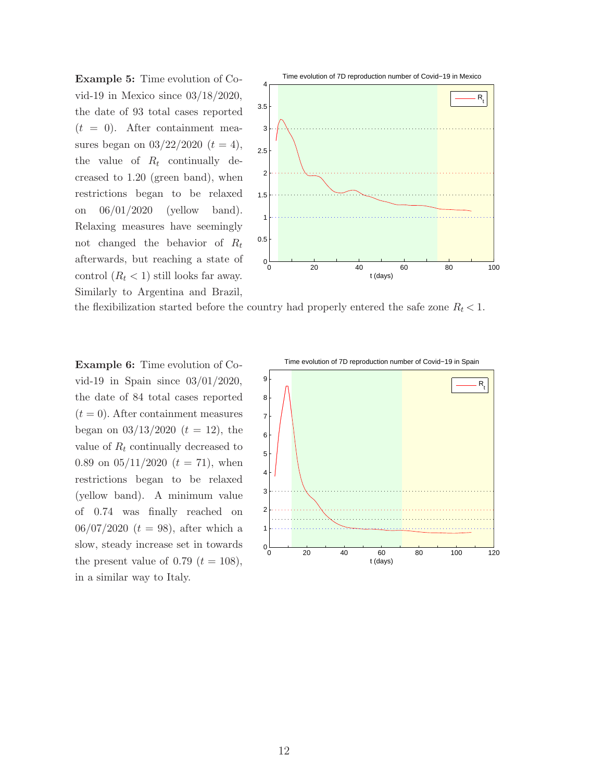Example 5: Time evolution of Covid-19 in Mexico since 03/18/2020, the date of 93 total cases reported  $(t = 0)$ . After containment measures began on  $03/22/2020$   $(t = 4)$ , the value of  $R_t$  continually decreased to 1.20 (green band), when restrictions began to be relaxed on 06/01/2020 (yellow band). Relaxing measures have seemingly not changed the behavior of  $R_t$ afterwards, but reaching a state of control  $(R_t < 1)$  still looks far away. Similarly to Argentina and Brazil,



the flexibilization started before the country had properly entered the safe zone  $R_t < 1$ .

Example 6: Time evolution of Covid-19 in Spain since 03/01/2020, the date of 84 total cases reported  $(t = 0)$ . After containment measures began on  $03/13/2020$   $(t = 12)$ , the value of  $R_t$  continually decreased to 0.89 on  $05/11/2020$   $(t = 71)$ , when restrictions began to be relaxed (yellow band). A minimum value of 0.74 was finally reached on  $06/07/2020$   $(t = 98)$ , after which a slow, steady increase set in towards the present value of 0.79  $(t = 108)$ , in a similar way to Italy.

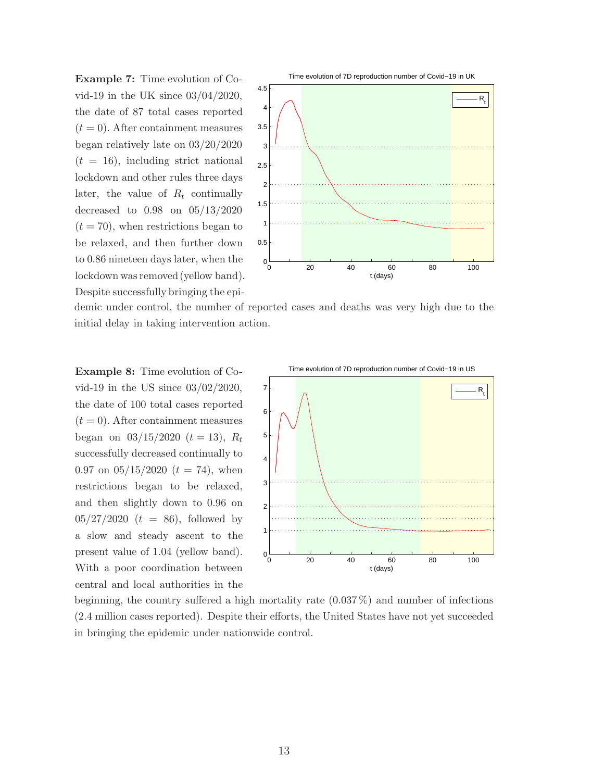Example 7: Time evolution of Covid-19 in the UK since 03/04/2020, the date of 87 total cases reported  $(t = 0)$ . After containment measures began relatively late on 03/20/2020  $(t = 16)$ , including strict national lockdown and other rules three days later, the value of  $R_t$  continually decreased to 0.98 on 05/13/2020  $(t = 70)$ , when restrictions began to be relaxed, and then further down to 0.86 nineteen days later, when the lockdown was removed (yellow band). Despite successfully bringing the epi-



demic under control, the number of reported cases and deaths was very high due to the initial delay in taking intervention action.

Example 8: Time evolution of Covid-19 in the US since 03/02/2020, the date of 100 total cases reported  $(t = 0)$ . After containment measures began on  $03/15/2020$   $(t = 13)$ ,  $R_t$ successfully decreased continually to 0.97 on  $05/15/2020$   $(t = 74)$ , when restrictions began to be relaxed, and then slightly down to 0.96 on  $05/27/2020$   $(t = 86)$ , followed by a slow and steady ascent to the present value of 1.04 (yellow band). With a poor coordination between central and local authorities in the



beginning, the country suffered a high mortality rate (0.037 %) and number of infections (2.4 million cases reported). Despite their efforts, the United States have not yet succeeded in bringing the epidemic under nationwide control.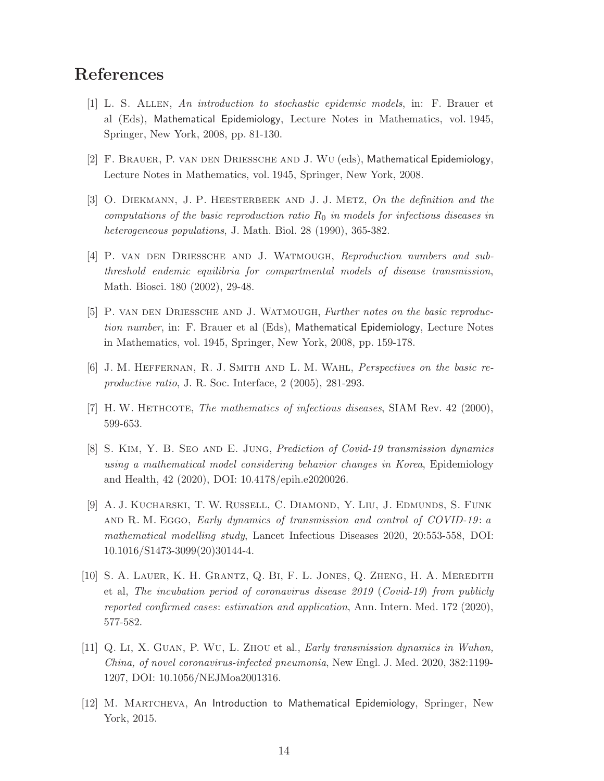# <span id="page-14-8"></span>References

- [1] L. S. Allen, An introduction to stochastic epidemic models, in: F. Brauer et al (Eds), Mathematical Epidemiology, Lecture Notes in Mathematics, vol. 1945, Springer, New York, 2008, pp. 81-130.
- <span id="page-14-3"></span>[2] F. Brauer, P. van den Driessche and J. Wu (eds), Mathematical Epidemiology, Lecture Notes in Mathematics, vol. 1945, Springer, New York, 2008.
- [3] O. DIEKMANN, J. P. HEESTERBEEK AND J. J. METZ, On the definition and the computations of the basic reproduction ratio  $R_0$  in models for infectious diseases in heterogeneous populations, J. Math. Biol. 28 (1990), 365-382.
- <span id="page-14-4"></span>[4] P. van den Driessche and J. Watmough, Reproduction numbers and subthreshold endemic equilibria for compartmental models of disease transmission, Math. Biosci. 180 (2002), 29-48.
- <span id="page-14-0"></span>[5] P. van den Driessche and J. Watmough, Further notes on the basic reproduction number, in: F. Brauer et al (Eds), Mathematical Epidemiology, Lecture Notes in Mathematics, vol. 1945, Springer, New York, 2008, pp. 159-178.
- <span id="page-14-2"></span><span id="page-14-1"></span>[6] J. M. Heffernan, R. J. Smith and L. M. Wahl, Perspectives on the basic reproductive ratio, J. R. Soc. Interface, 2 (2005), 281-293.
- [7] H. W. HETHCOTE, The mathematics of infectious diseases, SIAM Rev. 42 (2000), 599-653.
- [8] S. Kim, Y. B. Seo and E. Jung, Prediction of Covid-19 transmission dynamics using a mathematical model considering behavior changes in Korea, Epidemiology and Health, 42 (2020), DOI: 10.4178/epih.e2020026.
- <span id="page-14-6"></span>[9] A. J. Kucharski, T. W. Russell, C. Diamond, Y. Liu, J. Edmunds, S. Funk AND R. M. Eggo, Early dynamics of transmission and control of COVID-19: a mathematical modelling study, Lancet Infectious Diseases 2020, 20:553-558, DOI: 10.1016/S1473-3099(20)30144-4.
- <span id="page-14-7"></span>[10] S. A. Lauer, K. H. Grantz, Q. Bi, F. L. Jones, Q. Zheng, H. A. Meredith et al, The incubation period of coronavirus disease 2019 (Covid-19) from publicly reported confirmed cases: estimation and application, Ann. Intern. Med. 172 (2020), 577-582.
- [11] Q. Li, X. Guan, P. Wu, L. Zhou et al., Early transmission dynamics in Wuhan, China, of novel coronavirus-infected pneumonia, New Engl. J. Med. 2020, 382:1199- 1207, DOI: 10.1056/NEJMoa2001316.
- <span id="page-14-5"></span>[12] M. MARTCHEVA, An Introduction to Mathematical Epidemiology, Springer, New York, 2015.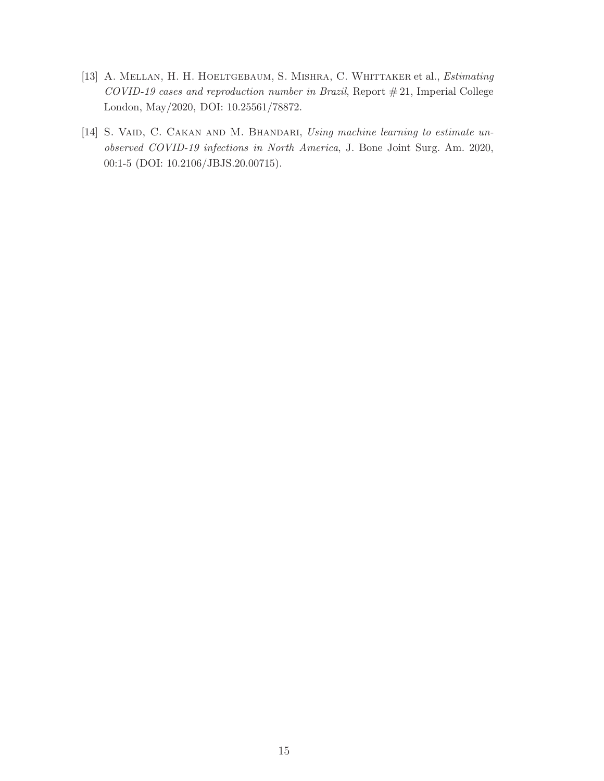- <span id="page-15-0"></span>[13] A. MELLAN, H. H. HOELTGEBAUM, S. MISHRA, C. WHITTAKER et al., *Estimating* COVID-19 cases and reproduction number in Brazil, Report  $\#21$ , Imperial College London, May/2020, DOI: 10.25561/78872.
- <span id="page-15-1"></span>[14] S. VAID, C. CAKAN AND M. BHANDARI, Using machine learning to estimate unobserved COVID-19 infections in North America, J. Bone Joint Surg. Am. 2020, 00:1-5 (DOI: 10.2106/JBJS.20.00715).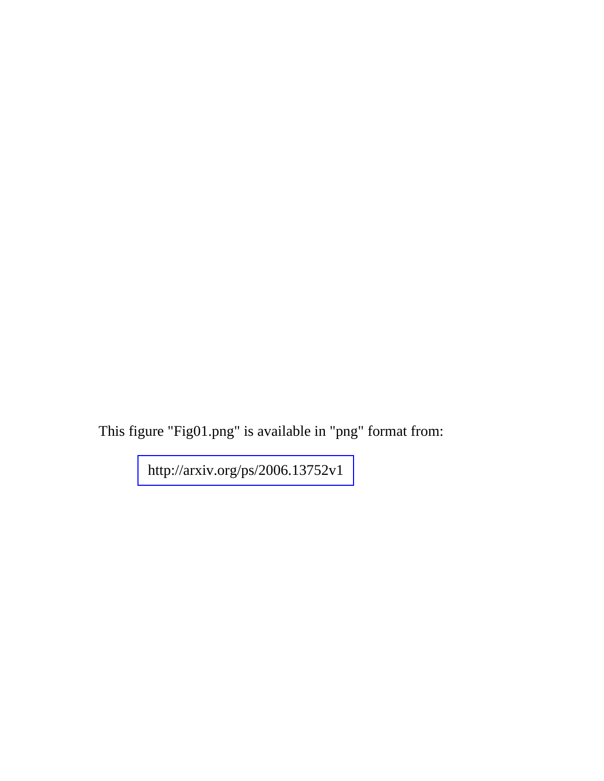This figure "Fig01.png" is available in "png" format from: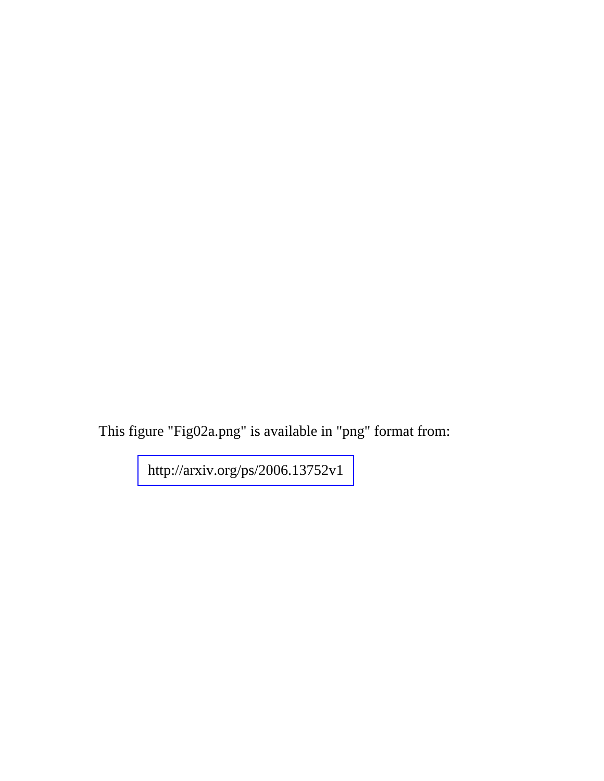This figure "Fig02a.png" is available in "png" format from: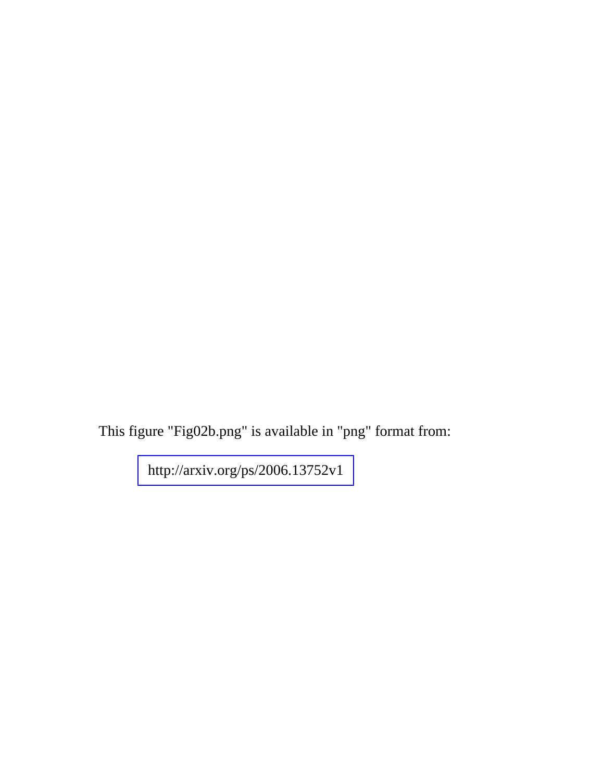This figure "Fig02b.png" is available in "png" format from: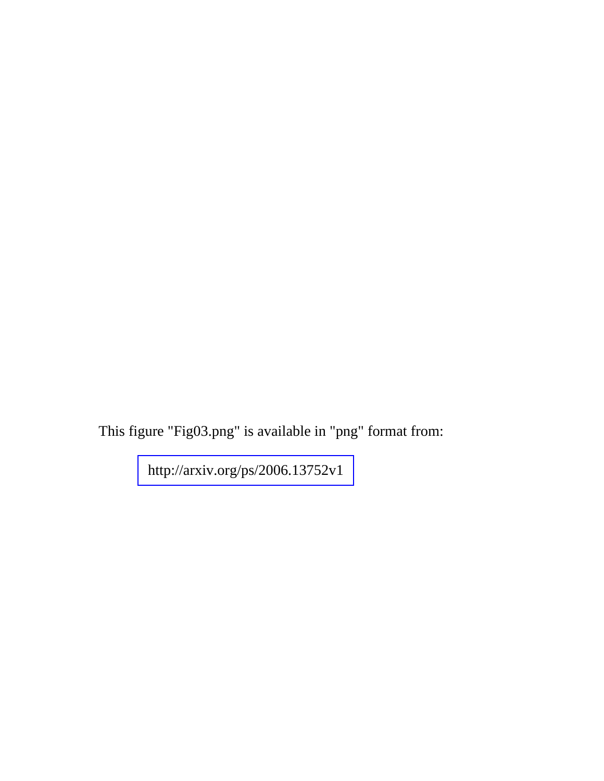This figure "Fig03.png" is available in "png" format from: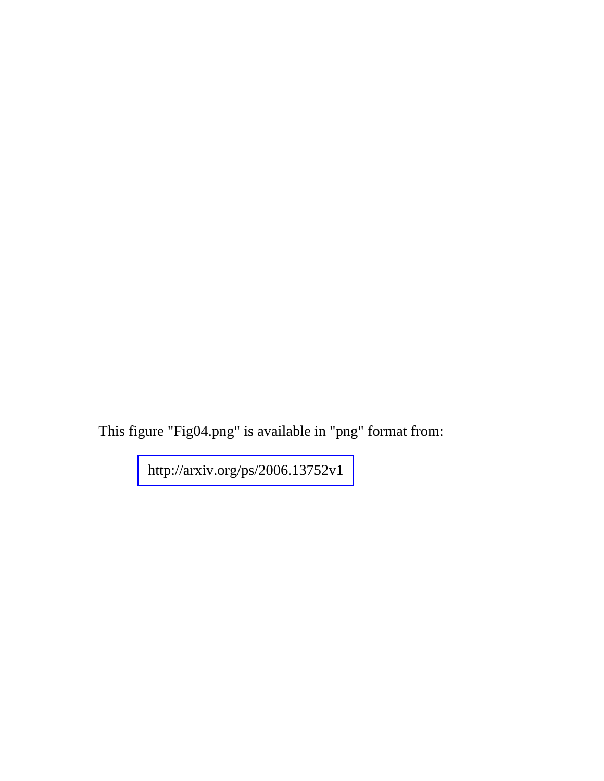This figure "Fig04.png" is available in "png" format from: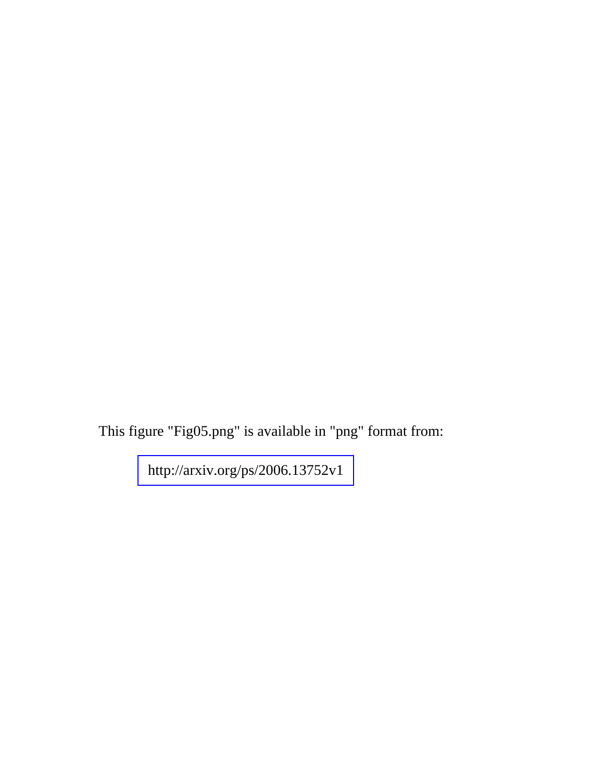This figure "Fig05.png" is available in "png" format from: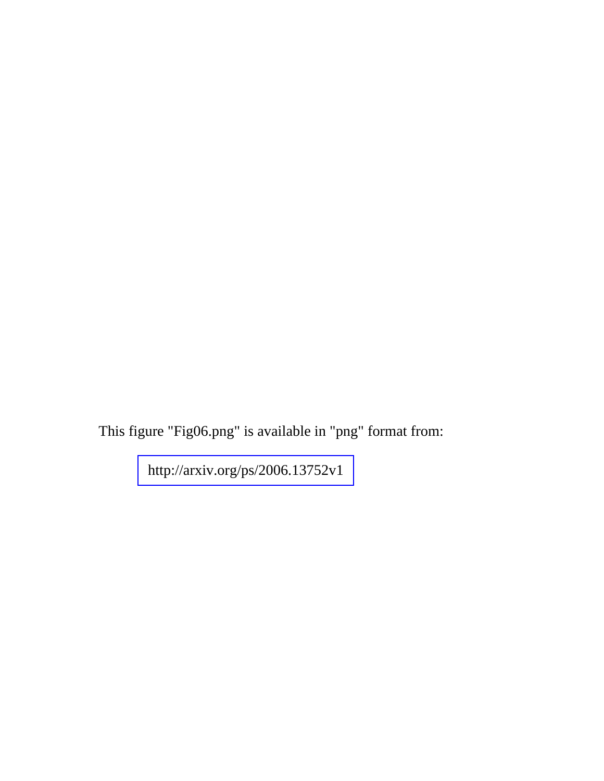This figure "Fig06.png" is available in "png" format from: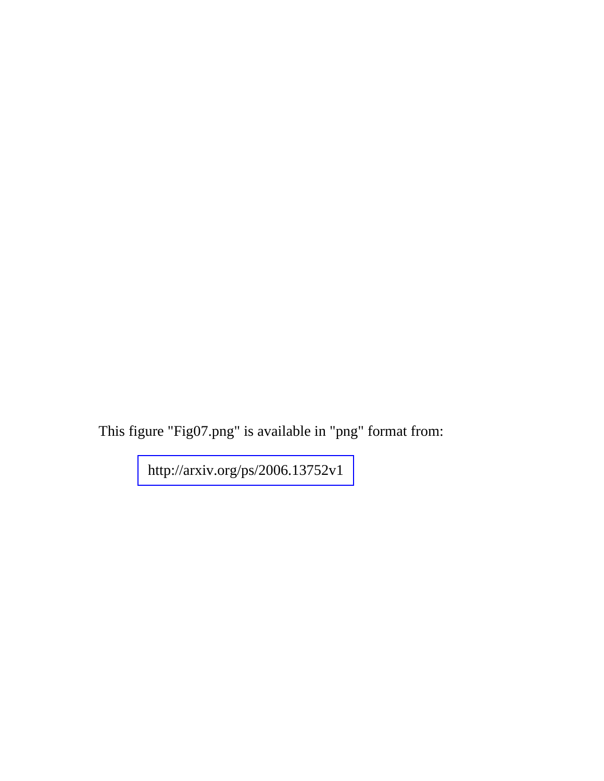This figure "Fig07.png" is available in "png" format from: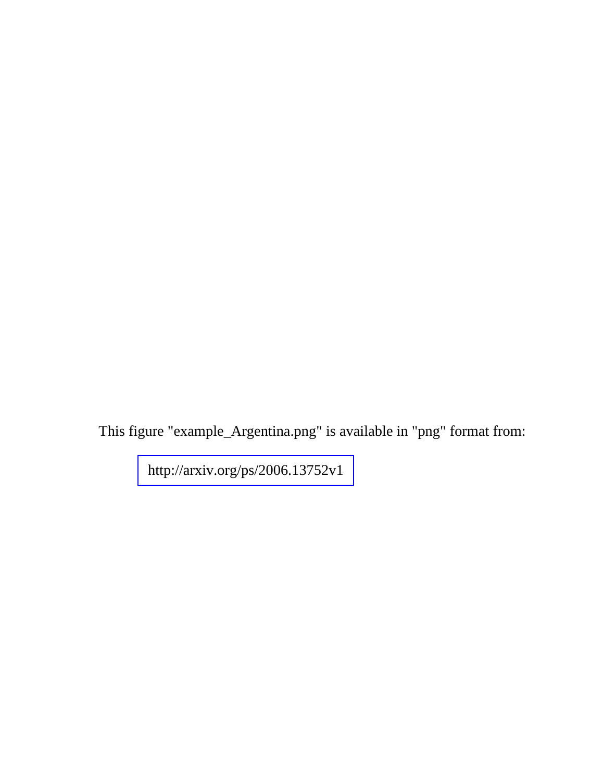This figure "example\_Argentina.png" is available in "png" format from: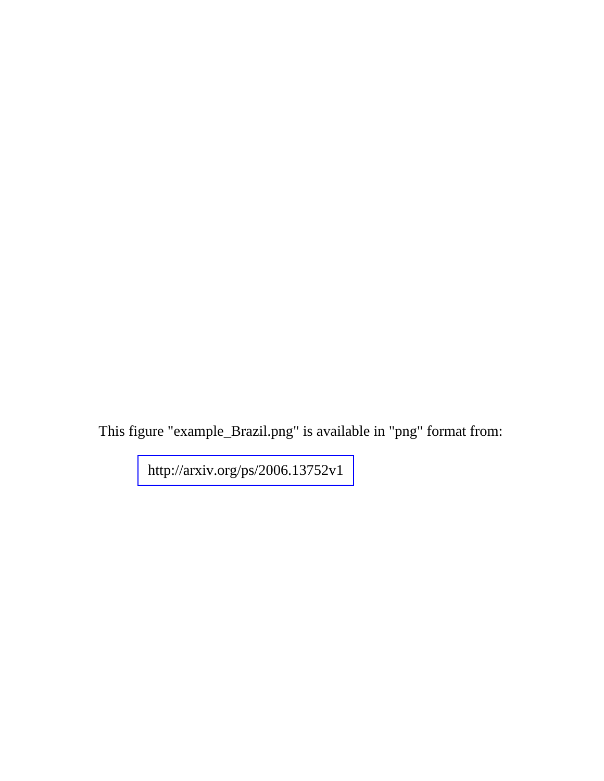This figure "example\_Brazil.png" is available in "png" format from: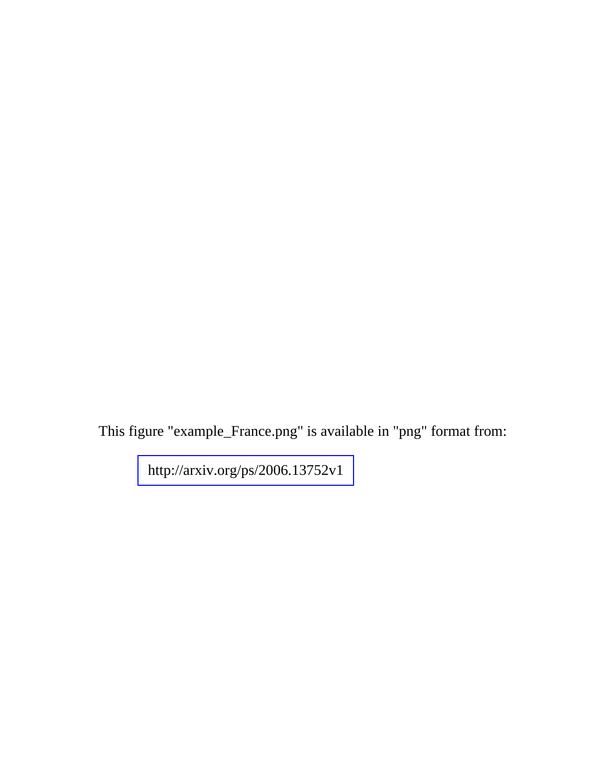This figure "example\_France.png" is available in "png" format from: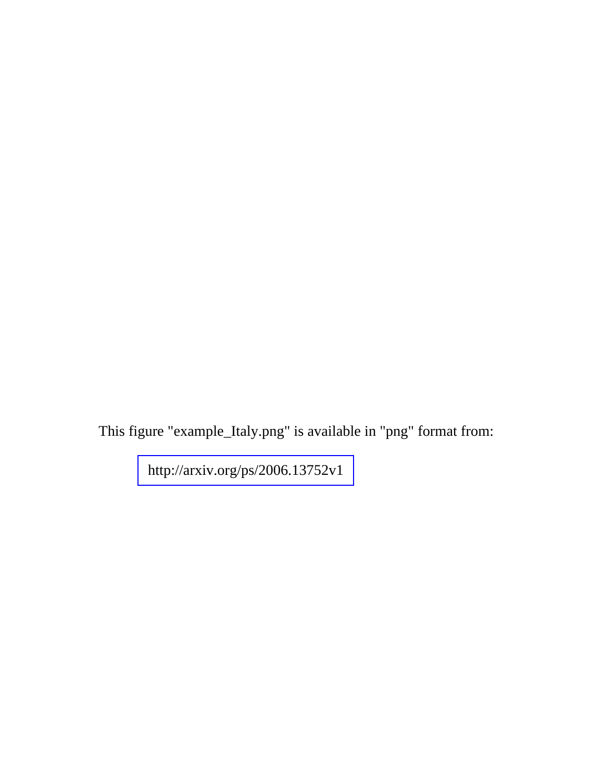This figure "example\_Italy.png" is available in "png" format from: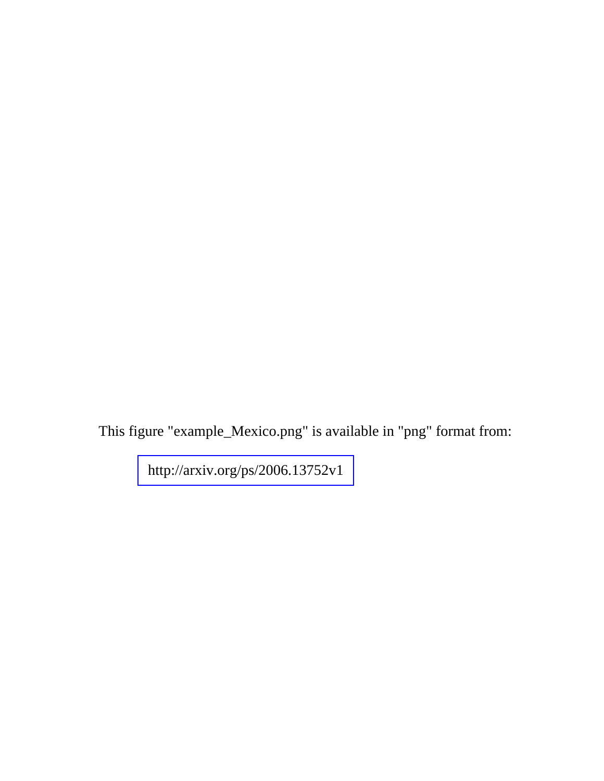This figure "example\_Mexico.png" is available in "png" format from: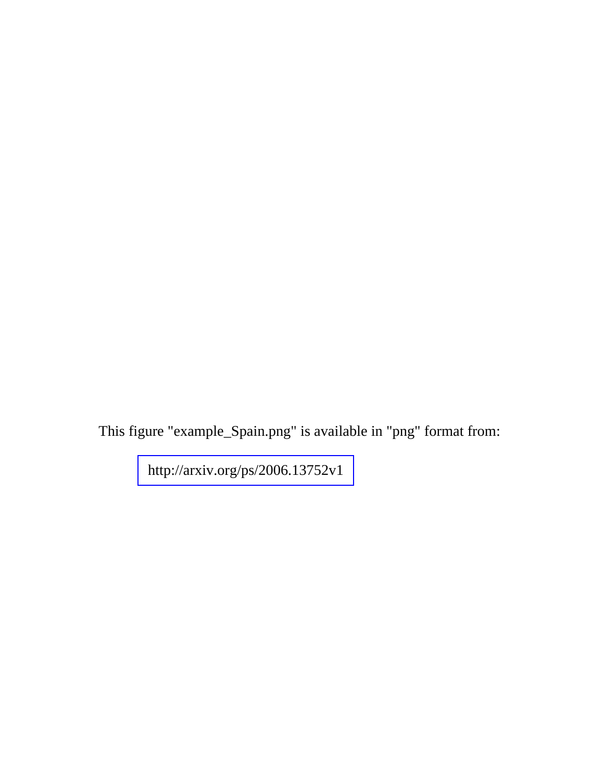This figure "example\_Spain.png" is available in "png" format from: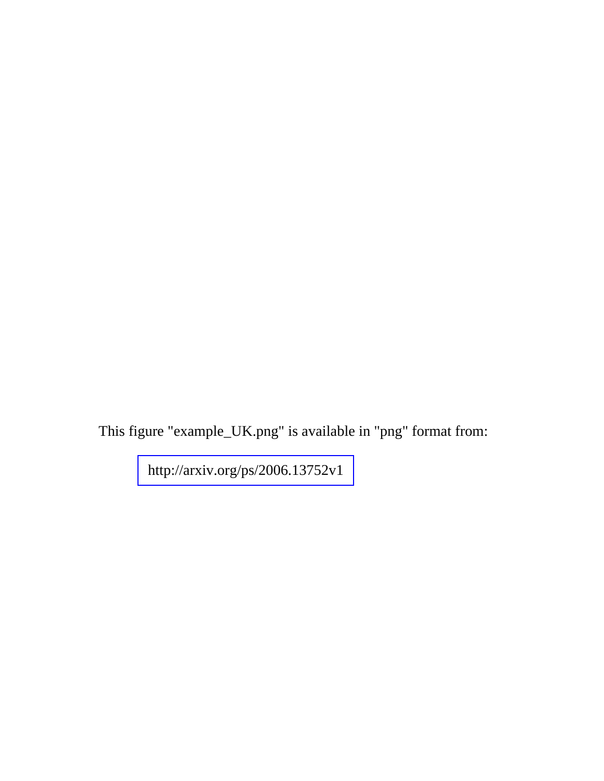This figure "example\_UK.png" is available in "png" format from: